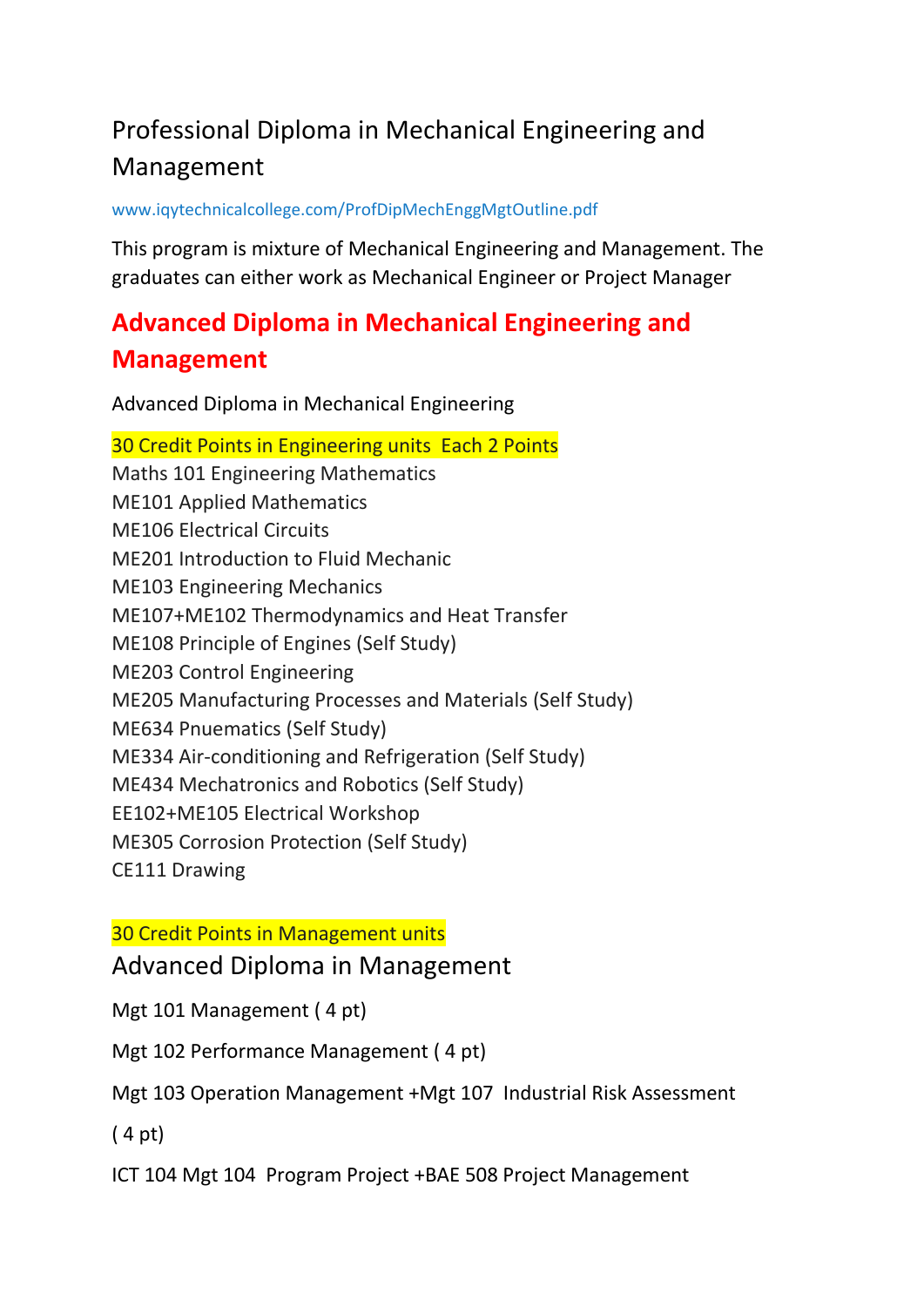# Professional Diploma in Mechanical Engineering and Management

[www.iqytechnicalcollege.com/ProfDipMechEnggMgtOutline.pdf](http://www.iqytechnicalcollege.com/ProfDipMechEnggMgtOutline.pdf)

This program is mixture of Mechanical Engineering and Management. The graduates can either work as Mechanical Engineer or Project Manager

# **Advanced Diploma in Mechanical Engineering and Management**

Advanced Diploma in Mechanical Engineering

30 Credit Points in Engineering units Each 2 Points Maths 101 Engineering Mathematics ME101 Applied Mathematics ME106 Electrical Circuits ME201 Introduction to Fluid Mechanic ME103 Engineering Mechanics ME107+ME102 Thermodynamics and Heat Transfer ME108 Principle of Engines (Self Study) ME203 Control Engineering ME205 Manufacturing Processes and Materials (Self Study) ME634 Pnuematics (Self Study) ME334 Air-conditioning and Refrigeration (Self Study) ME434 Mechatronics and Robotics (Self Study) EE102+ME105 Electrical Workshop ME305 Corrosion Protection (Self Study) CE111 Drawing

## 30 Credit Points in Management units

Advanced Diploma in Management

Mgt 101 Management ( 4 pt)

Mgt 102 Performance Management ( 4 pt)

Mgt 103 Operation Management +Mgt 107 Industrial Risk Assessment

( 4 pt)

ICT 104 Mgt 104 Program Project +BAE 508 Project Management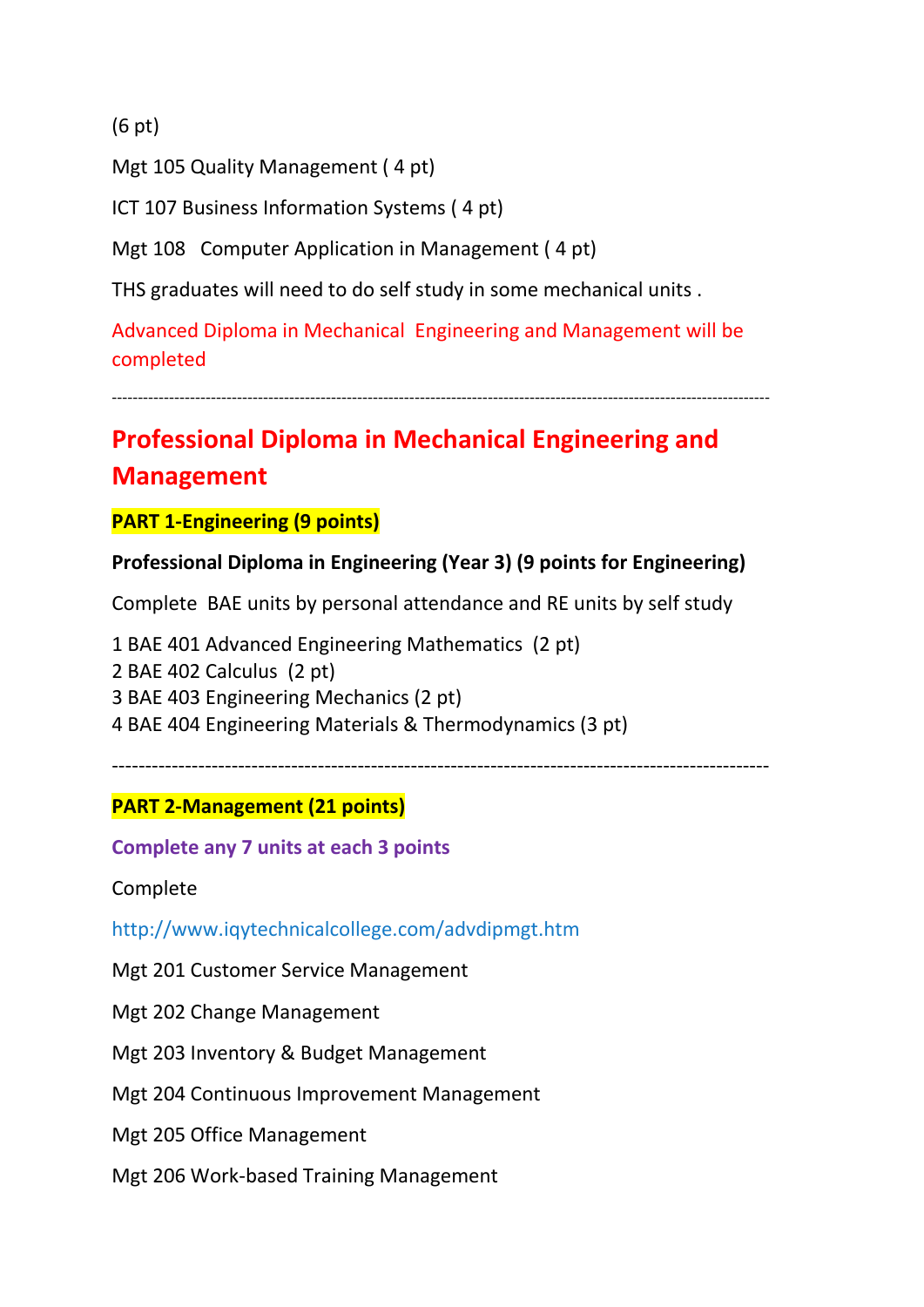(6 pt)

Mgt 105 Quality Management ( 4 pt)

ICT 107 Business Information Systems ( 4 pt)

Mgt 108 Computer Application in Management ( 4 pt)

THS graduates will need to do self study in some mechanical units .

Advanced Diploma in Mechanical Engineering and Management will be completed

------------------------------------------------------------------------------------------------------------------------------

# **Professional Diploma in Mechanical Engineering and Management**

**PART 1-Engineering (9 points)**

#### **Professional Diploma in Engineering (Year 3) (9 points for Engineering)**

Complete BAE units by personal attendance and RE units by self study

1 BAE 401 Advanced Engineering Mathematics (2 pt) 2 BAE 402 Calculus (2 pt) 3 BAE 403 Engineering Mechanics (2 pt) 4 BAE 404 Engineering Materials & Thermodynamics (3 pt)

---------------------------------------------------------------------------------------------------

## **PART 2-Management (21 points)**

**Complete any 7 units at each 3 points**

Complete

<http://www.iqytechnicalcollege.com/advdipmgt.htm>

Mgt 201 Customer Service Management

Mgt 202 Change Management

Mgt 203 Inventory & Budget Management

Mgt 204 Continuous Improvement Management

Mgt 205 Office Management

Mgt 206 Work-based Training Management